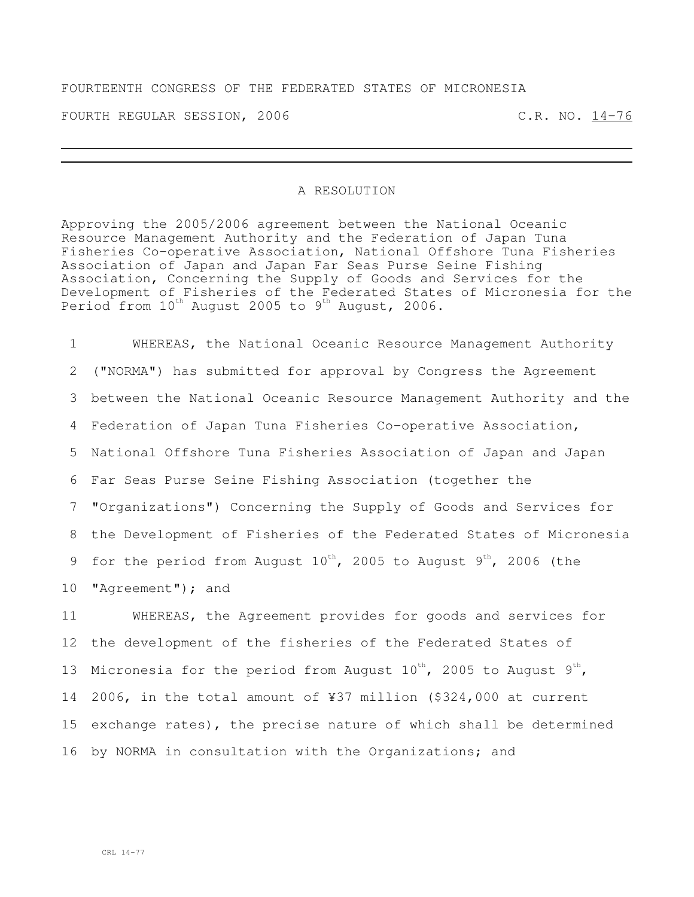## FOURTEENTH CONGRESS OF THE FEDERATED STATES OF MICRONESIA

FOURTH REGULAR SESSION, 2006 C.R. NO. 14-76

## A RESOLUTION

Approving the 2005/2006 agreement between the National Oceanic Resource Management Authority and the Federation of Japan Tuna Fisheries Co-operative Association, National Offshore Tuna Fisheries Association of Japan and Japan Far Seas Purse Seine Fishing Association, Concerning the Supply of Goods and Services for the Development of Fisheries of the Federated States of Micronesia for the Period from  $10^{\text{th}}$  August 2005 to 9th August, 2006.

 WHEREAS, the National Oceanic Resource Management Authority ("NORMA") has submitted for approval by Congress the Agreement between the National Oceanic Resource Management Authority and the Federation of Japan Tuna Fisheries Co-operative Association, National Offshore Tuna Fisheries Association of Japan and Japan Far Seas Purse Seine Fishing Association (together the "Organizations") Concerning the Supply of Goods and Services for the Development of Fisheries of the Federated States of Micronesia 9 for the period from August  $10^{th}$ , 2005 to August  $9^{th}$ , 2006 (the 10 "Agreement"); and WHEREAS, the Agreement provides for goods and services for

 the development of the fisheries of the Federated States of 13 Micronesia for the period from August  $10^{th}$ , 2005 to August  $9^{th}$ , 2006, in the total amount of ¥37 million (\$324,000 at current exchange rates), the precise nature of which shall be determined by NORMA in consultation with the Organizations; and